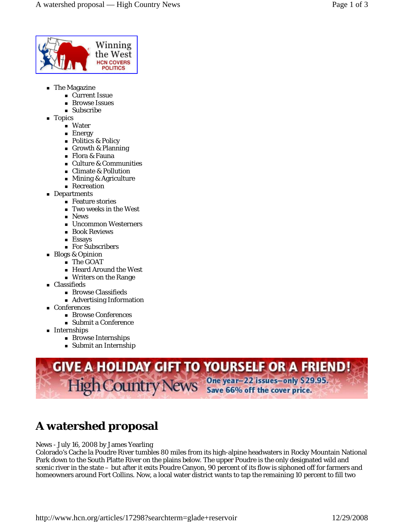

- **The Magazine** 
	- Current Issue
	- **Browse Issues**
	- **Subscribe**
- **Topics** 
	- Water
	- **Energy**
	- Politics & Policy
	- Growth & Planning
	- Flora & Fauna
	- Culture & Communities
	- Climate & Pollution
	- Mining & Agriculture
	- **Recreation**
- **Departments** 
	- Feature stories Two weeks in the West
	- **News**
	- Uncommon Westerners
	- **Book Reviews**
	- **Essays**
	- For Subscribers
- Blogs & Opinion
	- The GOAT
	- Heard Around the West
	- Writers on the Range
- Classifieds
	- Browse Classifieds
	- Advertising Information
- Conferences
	- **Browse Conferences**
	- Submit a Conference
- **Internships** 
	- **Browse Internships**
	- Submit an Internship



## **A watershed proposal**

News - July 16, 2008 by James Yearling

Colorado's Cache la Poudre River tumbles 80 miles from its high-alpine headwaters in Rocky Mountain National Park down to the South Platte River on the plains below. The upper Poudre is the only designated wild and scenic river in the state – but after it exits Poudre Canyon, 90 percent of its flow is siphoned off for farmers and homeowners around Fort Collins. Now, a local water district wants to tap the remaining 10 percent to fill two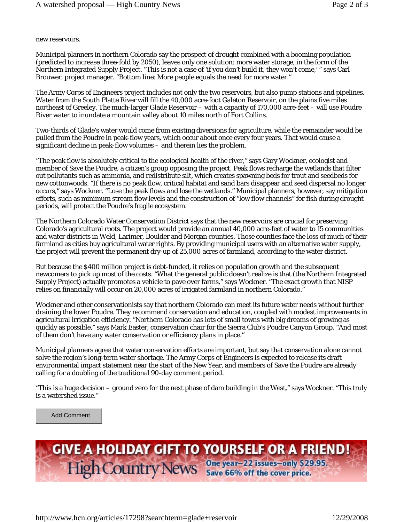new reservoirs.

Municipal planners in northern Colorado say the prospect of drought combined with a booming population (predicted to increase three-fold by 2050), leaves only one solution: more water storage, in the form of the Northern Integrated Supply Project. "This is not a case of 'if you don't build it, they won't come,' " says Carl Brouwer, project manager. "Bottom line: More people equals the need for more water."

The Army Corps of Engineers project includes not only the two reservoirs, but also pump stations and pipelines. Water from the South Platte River will fill the 40,000 acre-foot Galeton Reservoir, on the plains five miles northeast of Greeley. The much-larger Glade Reservoir – with a capacity of 170,000 acre-feet – will use Poudre River water to inundate a mountain valley about 10 miles north of Fort Collins.

Two-thirds of Glade's water would come from existing diversions for agriculture, while the remainder would be pulled from the Poudre in peak-flow years, which occur about once every four years. That would cause a significant decline in peak-flow volumes – and therein lies the problem.

"The peak flow is absolutely critical to the ecological health of the river," says Gary Wockner, ecologist and member of Save the Poudre, a citizen's group opposing the project. Peak flows recharge the wetlands that filter out pollutants such as ammonia, and redistribute silt, which creates spawning beds for trout and seedbeds for new cottonwoods. "If there is no peak flow, critical habitat and sand bars disappear and seed dispersal no longer occurs," says Wockner. "Lose the peak flows and lose the wetlands." Municipal planners, however, say mitigation efforts, such as minimum stream flow levels and the construction of "low flow channels" for fish during drought periods, will protect the Poudre's fragile ecosystem.

The Northern Colorado Water Conservation District says that the new reservoirs are crucial for preserving Colorado's agricultural roots. The project would provide an annual 40,000 acre-feet of water to 15 communities and water districts in Weld, Larimer, Boulder and Morgan counties. Those counties face the loss of much of their farmland as cities buy agricultural water rights. By providing municipal users with an alternative water supply, the project will prevent the permanent dry-up of 25,000 acres of farmland, according to the water district.

But because the \$400 million project is debt-funded, it relies on population growth and the subsequent newcomers to pick up most of the costs. "What the general public doesn't realize is that (the Northern Integrated Supply Project) actually promotes a vehicle to pave over farms," says Wockner. "The exact growth that NISP relies on financially will occur on 20,000 acres of irrigated farmland in northern Colorado."

Wockner and other conservationists say that northern Colorado can meet its future water needs without further draining the lower Poudre. They recommend conservation and education, coupled with modest improvements in agricultural irrigation efficiency. "Northern Colorado has lots of small towns with big dreams of growing as quickly as possible," says Mark Easter, conservation chair for the Sierra Club's Poudre Canyon Group. "And most of them don't have any water conservation or efficiency plans in place."

Municipal planners agree that water conservation efforts are important, but say that conservation alone cannot solve the region's long-term water shortage. The Army Corps of Engineers is expected to release its draft environmental impact statement near the start of the New Year, and members of Save the Poudre are already calling for a doubling of the traditional 90-day comment period.

"This is a huge decision – ground zero for the next phase of dam building in the West," says Wockner. "This truly is a watershed issue."

Add Comment